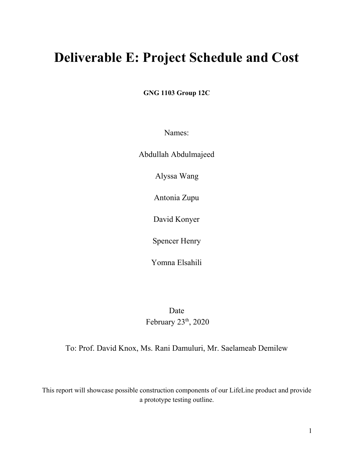# **Deliverable E: Project Schedule and Cost**

**GNG 1103 Group 12C**

Names:

Abdullah Abdulmajeed

Alyssa Wang

Antonia Zupu

David Konyer

Spencer Henry

Yomna Elsahili

Date February 23<sup>th</sup>, 2020

To: Prof. David Knox, Ms. Rani Damuluri, Mr. Saelameab Demilew

This report will showcase possible construction components of our LifeLine product and provide a prototype testing outline.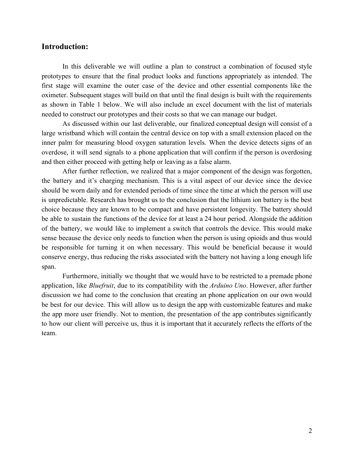# **Introduction:**

In this deliverable we will outline a plan to construct a combination of focused style prototypes to ensure that the final product looks and functions appropriately as intended. The first stage will examine the outer case of the device and other essential components like the oximeter. Subsequent stages will build on that until the final design is built with the requirements as shown in Table 1 below. We will also include an excel document with the list of materials needed to construct our prototypes and their costs so that we can manage our budget.

As discussed within our last deliverable, our finalized conceptual design will consist of a large wristband which will contain the central device on top with a small extension placed on the inner palm for measuring blood oxygen saturation levels. When the device detects signs of an overdose, it will send signals to a phone application that will confirm if the person is overdosing and then either proceed with getting help or leaving as a false alarm.

After further reflection, we realized that a major component of the design was forgotten, the battery and it's charging mechanism. This is a vital aspect of our device since the device should be worn daily and for extended periods of time since the time at which the person will use is unpredictable. Research has brought us to the conclusion that the lithium ion battery is the best choice because they are known to be compact and have persistent longevity. The battery should be able to sustain the functions of the device for at least a 24 hour period. Alongside the addition of the battery, we would like to implement a switch that controls the device. This would make sense because the device only needs to function when the person is using opioids and thus would be responsible for turning it on when necessary. This would be beneficial because it would conserve energy, thus reducing the risks associated with the battery not having a long enough life span.

Furthermore, initially we thought that we would have to be restricted to a premade phone application, like *Bluefruit*, due to its compatibility with the *Arduino Uno*. However, after further discussion we had come to the conclusion that creating an phone application on our own would be best for our device. This will allow us to design the app with customizable features and make the app more user friendly. Not to mention, the presentation of the app contributes significantly to how our client will perceive us, thus it is important that it accurately reflects the efforts of the team.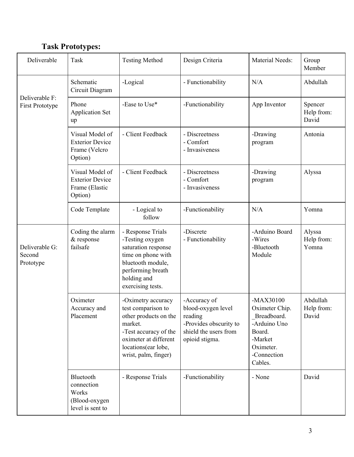# **Task Prototypes:**

| Deliverable                           | Task                                                                   | <b>Testing Method</b>                                                                                                                                                         | Design Criteria                                                                                                    | <b>Material Needs:</b>                                                                                                   | Group<br>Member                 |
|---------------------------------------|------------------------------------------------------------------------|-------------------------------------------------------------------------------------------------------------------------------------------------------------------------------|--------------------------------------------------------------------------------------------------------------------|--------------------------------------------------------------------------------------------------------------------------|---------------------------------|
| Deliverable F:<br>First Prototype     | Schematic<br>Circuit Diagram                                           | -Logical                                                                                                                                                                      | - Functionability                                                                                                  | N/A                                                                                                                      | Abdullah                        |
|                                       | Phone<br><b>Application Set</b><br>up                                  | -Ease to Use*                                                                                                                                                                 | -Functionability                                                                                                   | App Inventor                                                                                                             | Spencer<br>Help from:<br>David  |
|                                       | Visual Model of<br><b>Exterior Device</b><br>Frame (Velcro<br>Option)  | - Client Feedback                                                                                                                                                             | - Discreetness<br>- Comfort<br>- Invasiveness                                                                      | -Drawing<br>program                                                                                                      | Antonia                         |
|                                       | Visual Model of<br><b>Exterior Device</b><br>Frame (Elastic<br>Option) | - Client Feedback                                                                                                                                                             | - Discreetness<br>- Comfort<br>- Invasiveness                                                                      | -Drawing<br>program                                                                                                      | Alyssa                          |
|                                       | Code Template                                                          | - Logical to<br>follow                                                                                                                                                        | -Functionability                                                                                                   | N/A                                                                                                                      | Yomna                           |
| Deliverable G:<br>Second<br>Prototype | Coding the alarm<br>& response<br>failsafe                             | - Response Trials<br>-Testing oxygen<br>saturation response<br>time on phone with<br>bluetooth module,<br>performing breath<br>holding and<br>exercising tests.               | -Discrete<br>- Functionability                                                                                     | -Arduino Board<br>-Wires<br>-Bluetooth<br>Module                                                                         | Alyssa<br>Help from:<br>Yomna   |
|                                       | Oximeter<br>Accuracy and<br>Placement                                  | -Oximetry accuracy<br>test comparison to<br>other products on the<br>market.<br>-Test accuracy of the<br>oximeter at different<br>locations(ear lobe,<br>wrist, palm, finger) | -Accuracy of<br>blood-oxygen level<br>reading<br>-Provides obscurity to<br>shield the users from<br>opioid stigma. | $-MAX30100$<br>Oximeter Chip.<br>Breadboard.<br>-Arduino Uno<br>Board.<br>-Market<br>Oximeter.<br>-Connection<br>Cables. | Abdullah<br>Help from:<br>David |
|                                       | Bluetooth<br>connection<br>Works<br>(Blood-oxygen<br>level is sent to  | - Response Trials                                                                                                                                                             | -Functionability                                                                                                   | - None                                                                                                                   | David                           |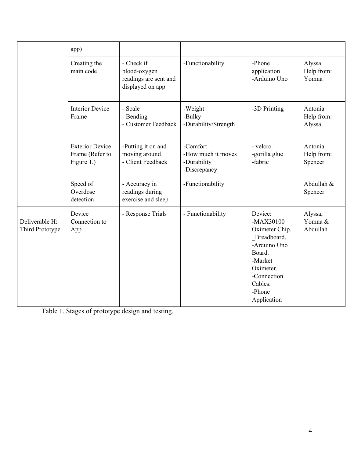|                                   | app)                                                    |                                                                         |                                                               |                                                                                                                                                              |                                  |
|-----------------------------------|---------------------------------------------------------|-------------------------------------------------------------------------|---------------------------------------------------------------|--------------------------------------------------------------------------------------------------------------------------------------------------------------|----------------------------------|
|                                   | Creating the<br>main code                               | - Check if<br>blood-oxygen<br>readings are sent and<br>displayed on app | -Functionability                                              | -Phone<br>application<br>-Arduino Uno                                                                                                                        | Alyssa<br>Help from:<br>Yomna    |
|                                   | <b>Interior Device</b><br>Frame                         | - Scale<br>- Bending<br>- Customer Feedback                             | -Weight<br>-Bulky<br>-Durability/Strength                     | -3D Printing                                                                                                                                                 | Antonia<br>Help from:<br>Alyssa  |
|                                   | <b>Exterior Device</b><br>Frame (Refer to<br>Figure 1.) | -Putting it on and<br>moving around<br>- Client Feedback                | -Comfort<br>-How much it moves<br>-Durability<br>-Discrepancy | - velcro<br>-gorilla glue<br>-fabric                                                                                                                         | Antonia<br>Help from:<br>Spencer |
|                                   | Speed of<br>Overdose<br>detection                       | - Accuracy in<br>readings during<br>exercise and sleep                  | -Functionability                                              |                                                                                                                                                              | Abdullah &<br>Spencer            |
| Deliverable H:<br>Third Prototype | Device<br>Connection to<br>App                          | - Response Trials                                                       | - Functionability                                             | Device:<br>$-MAX30100$<br>Oximeter Chip.<br>Breadboard.<br>-Arduino Uno<br>Board.<br>-Market<br>Oximeter.<br>-Connection<br>Cables.<br>-Phone<br>Application | Alyssa,<br>Yomna &<br>Abdullah   |

Table 1. Stages of prototype design and testing.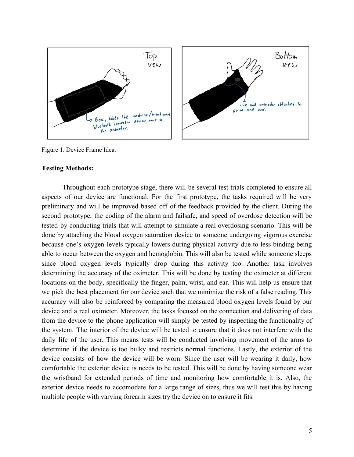

Figure 1. Device Frame Idea.

#### **Testing Methods:**

Throughout each prototype stage, there will be several test trials completed to ensure all aspects of our device are functional. For the first prototype, the tasks required will be very preliminary and will be improved based off of the feedback provided by the client. During the second prototype, the coding of the alarm and failsafe, and speed of overdose detection will be tested by conducting trials that will attempt to simulate a real overdosing scenario. This will be done by attaching the blood oxygen saturation device to someone undergoing vigorous exercise because one's oxygen levels typically lowers during physical activity due to less binding being able to occur between the oxygen and hemoglobin. This will also be tested while someone sleeps since blood oxygen levels typically drop during this activity too. Another task involves determining the accuracy of the oximeter. This will be done by testing the oximeter at different locations on the body, specifically the finger, palm, wrist, and ear. This will help us ensure that we pick the best placement for our device such that we minimize the risk of a false reading. This accuracy will also be reinforced by comparing the measured blood oxygen levels found by our device and a real oximeter. Moreover, the tasks focused on the connection and delivering of data from the device to the phone application will simply be tested by inspecting the functionality of the system. The interior of the device will be tested to ensure that it does not interfere with the daily life of the user. This means tests will be conducted involving movement of the arms to determine if the device is too bulky and restricts normal functions. Lastly, the exterior of the device consists of how the device will be worn. Since the user will be wearing it daily, how comfortable the exterior device is needs to be tested. This will be done by having someone wear the wristband for extended periods of time and monitoring how comfortable it is. Also, the exterior device needs to accomodate for a large range of sizes, thus we will test this by having multiple people with varying forearm sizes try the device on to ensure it fits.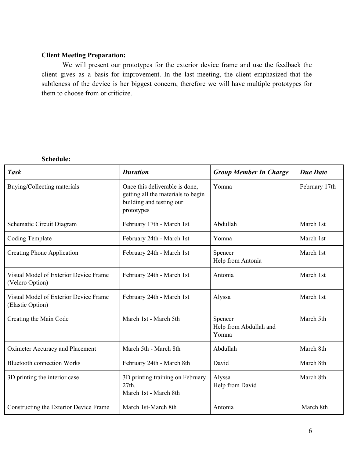# **Client Meeting Preparation:**

We will present our prototypes for the exterior device frame and use the feedback the client gives as a basis for improvement. In the last meeting, the client emphasized that the subtleness of the device is her biggest concern, therefore we will have multiple prototypes for them to choose from or criticize.

#### **Schedule:**

| <b>Task</b>                                               | <b>Duration</b>                                                                                                | <b>Group Member In Charge</b>              | <b>Due Date</b> |
|-----------------------------------------------------------|----------------------------------------------------------------------------------------------------------------|--------------------------------------------|-----------------|
| Buying/Collecting materials                               | Once this deliverable is done,<br>getting all the materials to begin<br>building and testing our<br>prototypes | Yomna                                      | February 17th   |
| Schematic Circuit Diagram                                 | February 17th - March 1st                                                                                      | Abdullah                                   | March 1st       |
| <b>Coding Template</b>                                    | February 24th - March 1st                                                                                      | Yomna                                      | March 1st       |
| <b>Creating Phone Application</b>                         | February 24th - March 1st                                                                                      | Spencer<br>Help from Antonia               | March 1st       |
| Visual Model of Exterior Device Frame<br>(Velcro Option)  | February 24th - March 1st                                                                                      | Antonia                                    | March 1st       |
| Visual Model of Exterior Device Frame<br>(Elastic Option) | February 24th - March 1st                                                                                      | Alyssa                                     | March 1st       |
| Creating the Main Code                                    | March 1st - March 5th                                                                                          | Spencer<br>Help from Abdullah and<br>Yomna | March 5th       |
| Oximeter Accuracy and Placement                           | March 5th - March 8th                                                                                          | Abdullah                                   | March 8th       |
| <b>Bluetooth connection Works</b>                         | February 24th - March 8th                                                                                      | David                                      | March 8th       |
| 3D printing the interior case                             | 3D printing training on February<br>27th.<br>March 1st - March 8th                                             | Alyssa<br>Help from David                  | March 8th       |
| Constructing the Exterior Device Frame                    | March 1st-March 8th                                                                                            | Antonia                                    | March 8th       |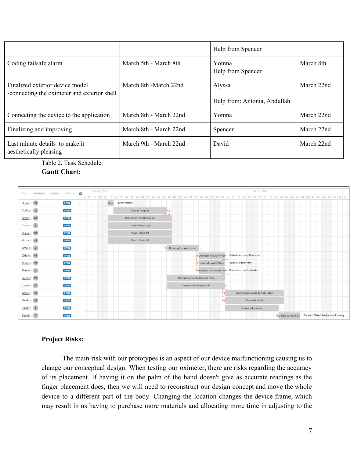|                                                                                |                        | Help from Spencer                      |            |
|--------------------------------------------------------------------------------|------------------------|----------------------------------------|------------|
| Coding failsafe alarm                                                          | March 5th - March 8th  | Yomna<br>Help from Spencer             | March 8th  |
| Finalized exterior device model<br>-connecting the oximeter and exterior shell | March 8th -March 22nd  | Alyssa<br>Help from: Antonia, Abdullah | March 22nd |
| Connecting the device to the application                                       | March 8th - March 22nd | Yomna                                  | March 22nd |
| Finalizing and improving                                                       | March 8th - March 22nd | Spencer                                | March 22nd |
| Last minute details to make it<br>aesthetically pleasing                       | March 9th - March 22nd | David                                  | March 22nd |

Table 2. Task Schedule.

**Gantt Chart:**



### **Project Risks:**

The main risk with our prototypes is an aspect of our device malfunctioning causing us to change our conceptual design. When testing our oximeter, there are risks regarding the accuracy of its placement. If having it on the palm of the hand doesn't give as accurate readings as the finger placement does, then we will need to reconstruct our design concept and move the whole device to a different part of the body. Changing the location changes the device frame, which may result in us having to purchase more materials and allocating more time in adjusting to the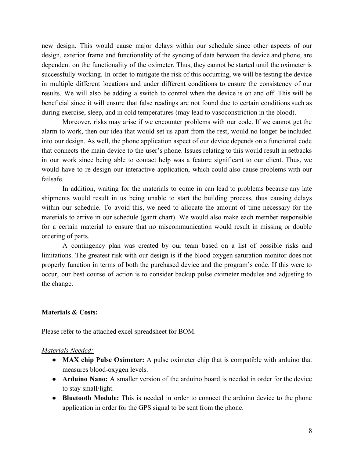new design. This would cause major delays within our schedule since other aspects of our design, exterior frame and functionality of the syncing of data between the device and phone, are dependent on the functionality of the oximeter. Thus, they cannot be started until the oximeter is successfully working. In order to mitigate the risk of this occurring, we will be testing the device in multiple different locations and under different conditions to ensure the consistency of our results. We will also be adding a switch to control when the device is on and off. This will be beneficial since it will ensure that false readings are not found due to certain conditions such as during exercise, sleep, and in cold temperatures (may lead to vasoconstriction in the blood).

Moreover, risks may arise if we encounter problems with our code. If we cannot get the alarm to work, then our idea that would set us apart from the rest, would no longer be included into our design. As well, the phone application aspect of our device depends on a functional code that connects the main device to the user's phone. Issues relating to this would result in setbacks in our work since being able to contact help was a feature significant to our client. Thus, we would have to re-design our interactive application, which could also cause problems with our failsafe.

In addition, waiting for the materials to come in can lead to problems because any late shipments would result in us being unable to start the building process, thus causing delays within our schedule. To avoid this, we need to allocate the amount of time necessary for the materials to arrive in our schedule (gantt chart). We would also make each member responsible for a certain material to ensure that no miscommunication would result in missing or double ordering of parts.

A contingency plan was created by our team based on a list of possible risks and limitations. The greatest risk with our design is if the blood oxygen saturation monitor does not properly function in terms of both the purchased device and the program's code. If this were to occur, our best course of action is to consider backup pulse oximeter modules and adjusting to the change.

#### **Materials & Costs:**

Please refer to the attached excel spreadsheet for BOM.

### *Materials Needed:*

- **MAX chip Pulse Oximeter:** A pulse oximeter chip that is compatible with arduino that measures blood-oxygen levels.
- **Arduino Nano:** A smaller version of the arduino board is needed in order for the device to stay small/light.
- **Bluetooth Module:** This is needed in order to connect the arduino device to the phone application in order for the GPS signal to be sent from the phone.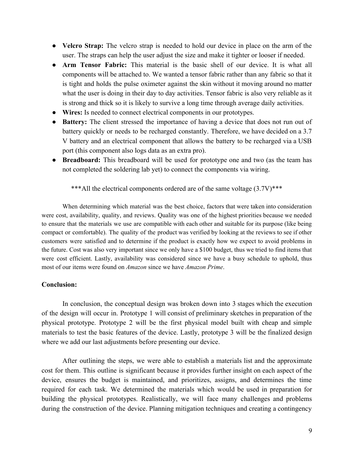- **Velcro Strap:** The velcro strap is needed to hold our device in place on the arm of the user. The straps can help the user adjust the size and make it tighter or looser if needed.
- **Arm Tensor Fabric:** This material is the basic shell of our device. It is what all components will be attached to. We wanted a tensor fabric rather than any fabric so that it is tight and holds the pulse oximeter against the skin without it moving around no matter what the user is doing in their day to day activities. Tensor fabric is also very reliable as it is strong and thick so it is likely to survive a long time through average daily activities.
- **Wires:** Is needed to connect electrical components in our prototypes.
- **Battery:** The client stressed the importance of having a device that does not run out of battery quickly or needs to be recharged constantly. Therefore, we have decided on a 3.7 V battery and an electrical component that allows the battery to be recharged via a USB port (this component also logs data as an extra pro).
- **Breadboard:** This breadboard will be used for prototype one and two (as the team has not completed the soldering lab yet) to connect the components via wiring.

\*\*\*All the electrical components ordered are of the same voltage  $(3.7V)$ \*\*\*

When determining which material was the best choice, factors that were taken into consideration were cost, availability, quality, and reviews. Quality was one of the highest priorities because we needed to ensure that the materials we use are compatible with each other and suitable for its purpose (like being compact or comfortable). The quality of the product was verified by looking at the reviews to see if other customers were satisfied and to determine if the product is exactly how we expect to avoid problems in the future. Cost was also very important since we only have a \$100 budget, thus we tried to find items that were cost efficient. Lastly, availability was considered since we have a busy schedule to uphold, thus most of our items were found on *Amazon* since we have *Amazon Prime*.

#### **Conclusion:**

In conclusion, the conceptual design was broken down into 3 stages which the execution of the design will occur in. Prototype 1 will consist of preliminary sketches in preparation of the physical prototype. Prototype 2 will be the first physical model built with cheap and simple materials to test the basic features of the device. Lastly, prototype 3 will be the finalized design where we add our last adjustments before presenting our device.

After outlining the steps, we were able to establish a materials list and the approximate cost for them. This outline is significant because it provides further insight on each aspect of the device, ensures the budget is maintained, and prioritizes, assigns, and determines the time required for each task. We determined the materials which would be used in preparation for building the physical prototypes. Realistically, we will face many challenges and problems during the construction of the device. Planning mitigation techniques and creating a contingency